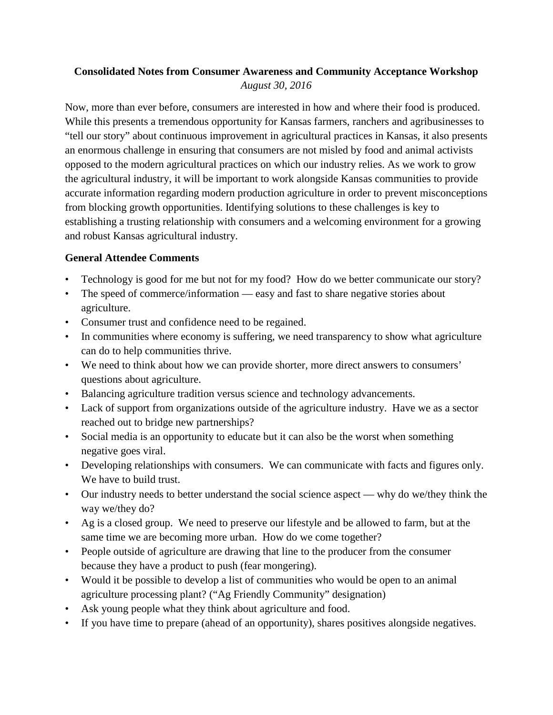# **Consolidated Notes from Consumer Awareness and Community Acceptance Workshop** *August 30, 2016*

Now, more than ever before, consumers are interested in how and where their food is produced. While this presents a tremendous opportunity for Kansas farmers, ranchers and agribusinesses to "tell our story" about continuous improvement in agricultural practices in Kansas, it also presents an enormous challenge in ensuring that consumers are not misled by food and animal activists opposed to the modern agricultural practices on which our industry relies. As we work to grow the agricultural industry, it will be important to work alongside Kansas communities to provide accurate information regarding modern production agriculture in order to prevent misconceptions from blocking growth opportunities. Identifying solutions to these challenges is key to establishing a trusting relationship with consumers and a welcoming environment for a growing and robust Kansas agricultural industry.

## **General Attendee Comments**

- Technology is good for me but not for my food? How do we better communicate our story?
- The speed of commerce/information easy and fast to share negative stories about agriculture.
- Consumer trust and confidence need to be regained.
- In communities where economy is suffering, we need transparency to show what agriculture can do to help communities thrive.
- We need to think about how we can provide shorter, more direct answers to consumers' questions about agriculture.
- Balancing agriculture tradition versus science and technology advancements.
- Lack of support from organizations outside of the agriculture industry. Have we as a sector reached out to bridge new partnerships?
- Social media is an opportunity to educate but it can also be the worst when something negative goes viral.
- Developing relationships with consumers. We can communicate with facts and figures only. We have to build trust.
- Our industry needs to better understand the social science aspect why do we/they think the way we/they do?
- Ag is a closed group. We need to preserve our lifestyle and be allowed to farm, but at the same time we are becoming more urban. How do we come together?
- People outside of agriculture are drawing that line to the producer from the consumer because they have a product to push (fear mongering).
- Would it be possible to develop a list of communities who would be open to an animal agriculture processing plant? ("Ag Friendly Community" designation)
- Ask young people what they think about agriculture and food.
- If you have time to prepare (ahead of an opportunity), shares positives alongside negatives.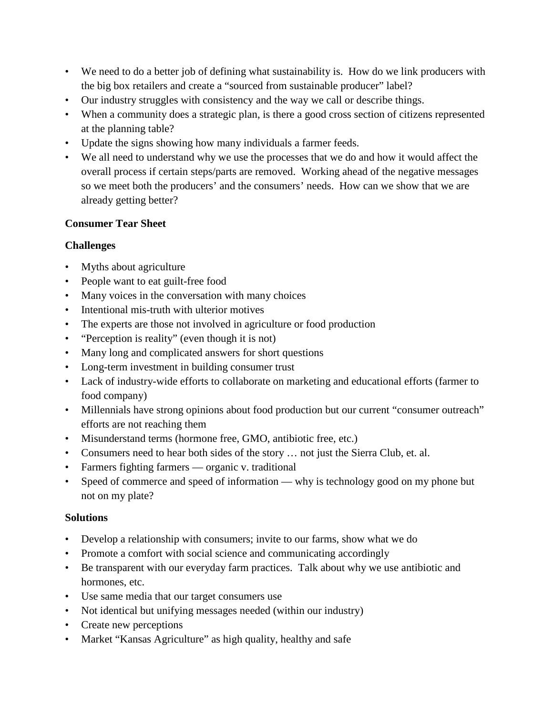- We need to do a better job of defining what sustainability is. How do we link producers with the big box retailers and create a "sourced from sustainable producer" label?
- Our industry struggles with consistency and the way we call or describe things.
- When a community does a strategic plan, is there a good cross section of citizens represented at the planning table?
- Update the signs showing how many individuals a farmer feeds.
- We all need to understand why we use the processes that we do and how it would affect the overall process if certain steps/parts are removed. Working ahead of the negative messages so we meet both the producers' and the consumers' needs. How can we show that we are already getting better?

# **Consumer Tear Sheet**

# **Challenges**

- Myths about agriculture
- People want to eat guilt-free food
- Many voices in the conversation with many choices
- Intentional mis-truth with ulterior motives
- The experts are those not involved in agriculture or food production
- "Perception is reality" (even though it is not)
- Many long and complicated answers for short questions
- Long-term investment in building consumer trust
- Lack of industry-wide efforts to collaborate on marketing and educational efforts (farmer to food company)
- Millennials have strong opinions about food production but our current "consumer outreach" efforts are not reaching them
- Misunderstand terms (hormone free, GMO, antibiotic free, etc.)
- Consumers need to hear both sides of the story … not just the Sierra Club, et. al.
- Farmers fighting farmers organic v. traditional
- Speed of commerce and speed of information why is technology good on my phone but not on my plate?

# **Solutions**

- Develop a relationship with consumers; invite to our farms, show what we do
- Promote a comfort with social science and communicating accordingly
- Be transparent with our everyday farm practices. Talk about why we use antibiotic and hormones, etc.
- Use same media that our target consumers use
- Not identical but unifying messages needed (within our industry)
- Create new perceptions
- Market "Kansas Agriculture" as high quality, healthy and safe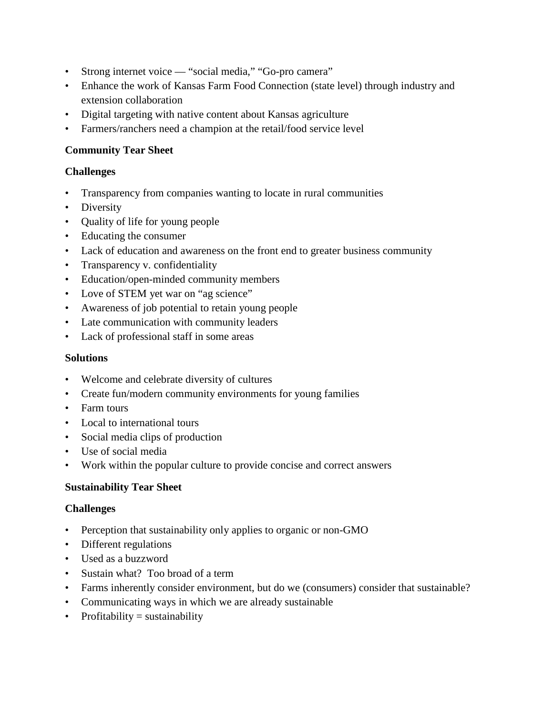- Strong internet voice "social media," "Go-pro camera"
- Enhance the work of Kansas Farm Food Connection (state level) through industry and extension collaboration
- Digital targeting with native content about Kansas agriculture
- Farmers/ranchers need a champion at the retail/food service level

## **Community Tear Sheet**

## **Challenges**

- Transparency from companies wanting to locate in rural communities
- Diversity
- Quality of life for young people
- Educating the consumer
- Lack of education and awareness on the front end to greater business community
- Transparency v. confidentiality
- Education/open-minded community members
- Love of STEM yet war on "ag science"
- Awareness of job potential to retain young people
- Late communication with community leaders
- Lack of professional staff in some areas

#### **Solutions**

- Welcome and celebrate diversity of cultures
- Create fun/modern community environments for young families
- Farm tours
- Local to international tours
- Social media clips of production
- Use of social media
- Work within the popular culture to provide concise and correct answers

### **Sustainability Tear Sheet**

### **Challenges**

- Perception that sustainability only applies to organic or non-GMO
- Different regulations
- Used as a buzzword
- Sustain what? Too broad of a term
- Farms inherently consider environment, but do we (consumers) consider that sustainable?
- Communicating ways in which we are already sustainable
- Profitability = sustainability